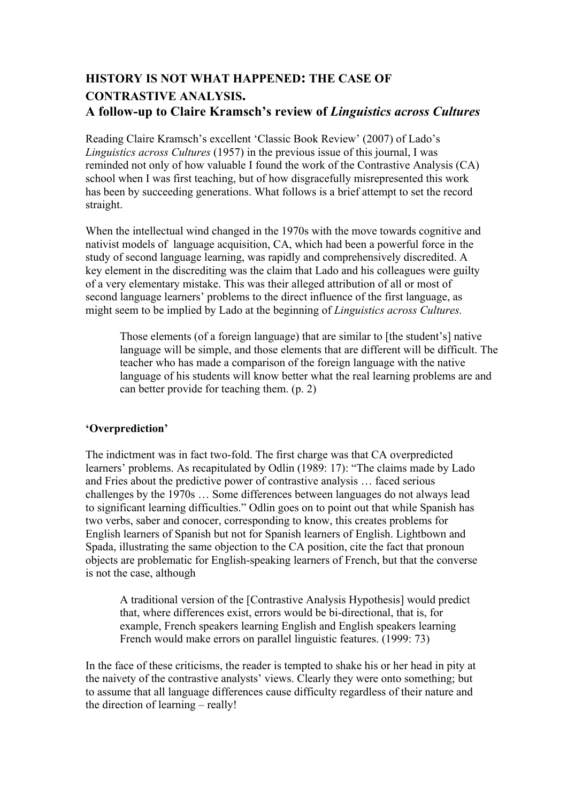# **HISTORY IS NOT WHAT HAPPENED: THE CASE OF CONTRASTIVE ANALYSIS. A follow-up to Claire Kramsch's review of** *Linguistics across Cultures*

Reading Claire Kramsch's excellent 'Classic Book Review' (2007) of Lado's *Linguistics across Cultures* (1957) in the previous issue of this journal, I was reminded not only of how valuable I found the work of the Contrastive Analysis (CA) school when I was first teaching, but of how disgracefully misrepresented this work has been by succeeding generations. What follows is a brief attempt to set the record straight.

When the intellectual wind changed in the 1970s with the move towards cognitive and nativist models of language acquisition, CA, which had been a powerful force in the study of second language learning, was rapidly and comprehensively discredited. A key element in the discrediting was the claim that Lado and his colleagues were guilty of a very elementary mistake. This was their alleged attribution of all or most of second language learners' problems to the direct influence of the first language, as might seem to be implied by Lado at the beginning of *Linguistics across Cultures.*

Those elements (of a foreign language) that are similar to [the student's] native language will be simple, and those elements that are different will be difficult. The teacher who has made a comparison of the foreign language with the native language of his students will know better what the real learning problems are and can better provide for teaching them. (p. 2)

# **'Overprediction'**

The indictment was in fact two-fold. The first charge was that CA overpredicted learners' problems. As recapitulated by Odlin (1989: 17): "The claims made by Lado and Fries about the predictive power of contrastive analysis … faced serious challenges by the 1970s … Some differences between languages do not always lead to significant learning difficulties." Odlin goes on to point out that while Spanish has two verbs, saber and conocer, corresponding to know, this creates problems for English learners of Spanish but not for Spanish learners of English. Lightbown and Spada, illustrating the same objection to the CA position, cite the fact that pronoun objects are problematic for English-speaking learners of French, but that the converse is not the case, although

A traditional version of the [Contrastive Analysis Hypothesis] would predict that, where differences exist, errors would be bi-directional, that is, for example, French speakers learning English and English speakers learning French would make errors on parallel linguistic features. (1999: 73)

In the face of these criticisms, the reader is tempted to shake his or her head in pity at the naivety of the contrastive analysts' views. Clearly they were onto something; but to assume that all language differences cause difficulty regardless of their nature and the direction of learning – really!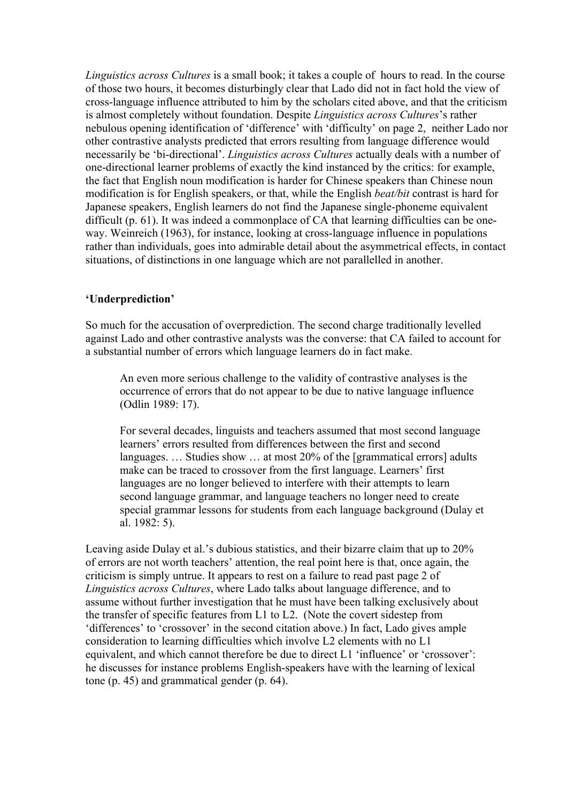*Linguistics across Cultures* is a small book; it takes a couple of hours to read. In the course of those two hours, it becomes disturbingly clear that Lado did not in fact hold the view of cross-language influence attributed to him by the scholars cited above, and that the criticism is almost completely without foundation. Despite *Linguistics across Cultures*'s rather nebulous opening identification of 'difference' with 'difficulty' on page 2, neither Lado nor other contrastive analysts predicted that errors resulting from language difference would necessarily be 'bi-directional'. *Linguistics across Cultures* actually deals with a number of one-directional learner problems of exactly the kind instanced by the critics: for example, the fact that English noun modification is harder for Chinese speakers than Chinese noun modification is for English speakers, or that, while the English *beat/bit* contrast is hard for Japanese speakers, English learners do not find the Japanese single-phoneme equivalent difficult (p. 61). It was indeed a commonplace of CA that learning difficulties can be oneway. Weinreich (1963), for instance, looking at cross-language influence in populations rather than individuals, goes into admirable detail about the asymmetrical effects, in contact situations, of distinctions in one language which are not parallelled in another.

### **'Underprediction'**

So much for the accusation of overprediction. The second charge traditionally levelled against Lado and other contrastive analysts was the converse: that CA failed to account for a substantial number of errors which language learners do in fact make.

An even more serious challenge to the validity of contrastive analyses is the occurrence of errors that do not appear to be due to native language influence (Odlin 1989: 17).

For several decades, linguists and teachers assumed that most second language learners' errors resulted from differences between the first and second languages. ... Studies show ... at most 20% of the [grammatical errors] adults make can be traced to crossover from the first language. Learners' first languages are no longer believed to interfere with their attempts to learn second language grammar, and language teachers no longer need to create special grammar lessons for students from each language background (Dulay et al. 1982: 5).

Leaving aside Dulay et al.'s dubious statistics, and their bizarre claim that up to 20% of errors are not worth teachers' attention, the real point here is that, once again, the criticism is simply untrue. It appears to rest on a failure to read past page 2 of *Linguistics across Cultures*, where Lado talks about language difference, and to assume without further investigation that he must have been talking exclusively about the transfer of specific features from L1 to L2. (Note the covert sidestep from 'differences' to 'crossover' in the second citation above.) In fact, Lado gives ample consideration to learning difficulties which involve L2 elements with no L1 equivalent, and which cannot therefore be due to direct L1 'influence' or 'crossover': he discusses for instance problems English-speakers have with the learning of lexical tone (p. 45) and grammatical gender (p. 64).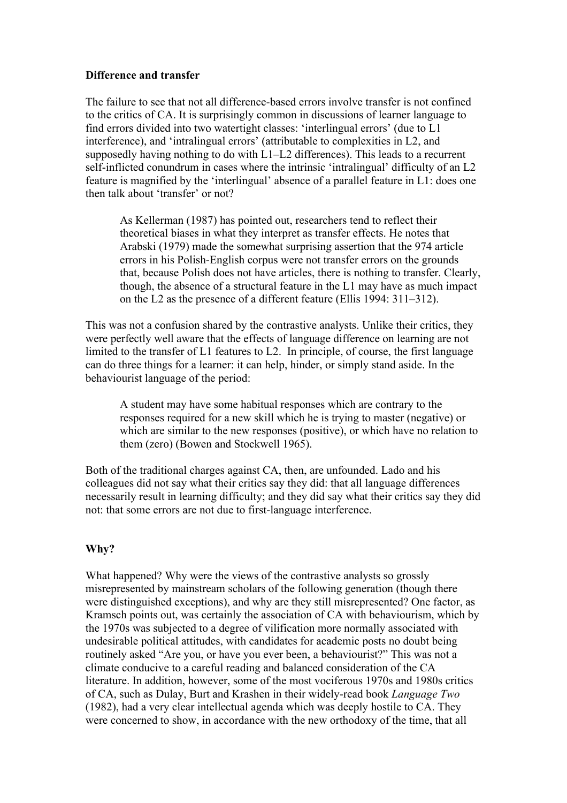## **Difference and transfer**

The failure to see that not all difference-based errors involve transfer is not confined to the critics of CA. It is surprisingly common in discussions of learner language to find errors divided into two watertight classes: 'interlingual errors' (due to L1 interference), and 'intralingual errors' (attributable to complexities in L2, and supposedly having nothing to do with L1–L2 differences). This leads to a recurrent self-inflicted conundrum in cases where the intrinsic 'intralingual' difficulty of an L2 feature is magnified by the 'interlingual' absence of a parallel feature in L1: does one then talk about 'transfer' or not?

As Kellerman (1987) has pointed out, researchers tend to reflect their theoretical biases in what they interpret as transfer effects. He notes that Arabski (1979) made the somewhat surprising assertion that the 974 article errors in his Polish-English corpus were not transfer errors on the grounds that, because Polish does not have articles, there is nothing to transfer. Clearly, though, the absence of a structural feature in the L1 may have as much impact on the L2 as the presence of a different feature (Ellis 1994: 311–312).

This was not a confusion shared by the contrastive analysts. Unlike their critics, they were perfectly well aware that the effects of language difference on learning are not limited to the transfer of L1 features to L2. In principle, of course, the first language can do three things for a learner: it can help, hinder, or simply stand aside. In the behaviourist language of the period:

A student may have some habitual responses which are contrary to the responses required for a new skill which he is trying to master (negative) or which are similar to the new responses (positive), or which have no relation to them (zero) (Bowen and Stockwell 1965).

Both of the traditional charges against CA, then, are unfounded. Lado and his colleagues did not say what their critics say they did: that all language differences necessarily result in learning difficulty; and they did say what their critics say they did not: that some errors are not due to first-language interference.

# **Why?**

What happened? Why were the views of the contrastive analysts so grossly misrepresented by mainstream scholars of the following generation (though there were distinguished exceptions), and why are they still misrepresented? One factor, as Kramsch points out, was certainly the association of CA with behaviourism, which by the 1970s was subjected to a degree of vilification more normally associated with undesirable political attitudes, with candidates for academic posts no doubt being routinely asked "Are you, or have you ever been, a behaviourist?" This was not a climate conducive to a careful reading and balanced consideration of the CA literature. In addition, however, some of the most vociferous 1970s and 1980s critics of CA, such as Dulay, Burt and Krashen in their widely-read book *Language Two* (1982), had a very clear intellectual agenda which was deeply hostile to CA. They were concerned to show, in accordance with the new orthodoxy of the time, that all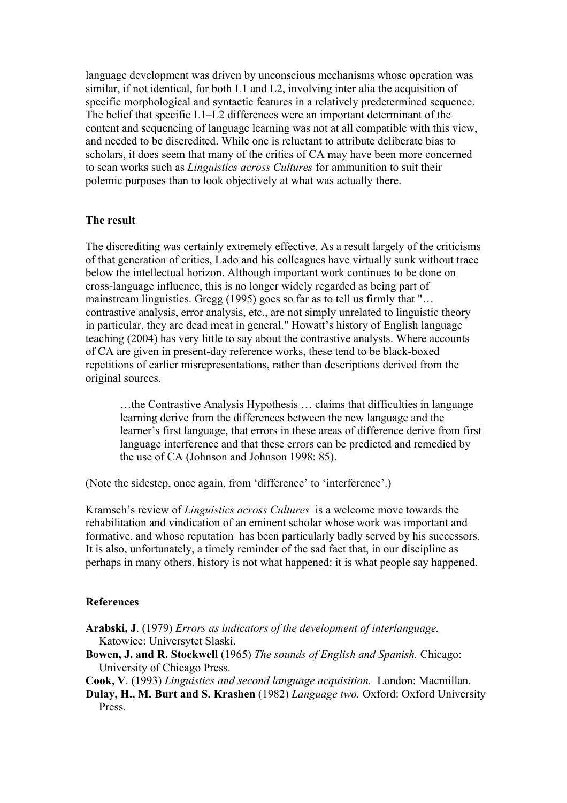language development was driven by unconscious mechanisms whose operation was similar, if not identical, for both L1 and L2, involving inter alia the acquisition of specific morphological and syntactic features in a relatively predetermined sequence. The belief that specific L1–L2 differences were an important determinant of the content and sequencing of language learning was not at all compatible with this view, and needed to be discredited. While one is reluctant to attribute deliberate bias to scholars, it does seem that many of the critics of CA may have been more concerned to scan works such as *Linguistics across Cultures* for ammunition to suit their polemic purposes than to look objectively at what was actually there.

#### **The result**

The discrediting was certainly extremely effective. As a result largely of the criticisms of that generation of critics, Lado and his colleagues have virtually sunk without trace below the intellectual horizon. Although important work continues to be done on cross-language influence, this is no longer widely regarded as being part of mainstream linguistics. Gregg (1995) goes so far as to tell us firmly that "… contrastive analysis, error analysis, etc., are not simply unrelated to linguistic theory in particular, they are dead meat in general." Howatt's history of English language teaching (2004) has very little to say about the contrastive analysts. Where accounts of CA are given in present-day reference works, these tend to be black-boxed repetitions of earlier misrepresentations, rather than descriptions derived from the original sources.

…the Contrastive Analysis Hypothesis … claims that difficulties in language learning derive from the differences between the new language and the learner's first language, that errors in these areas of difference derive from first language interference and that these errors can be predicted and remedied by the use of CA (Johnson and Johnson 1998: 85).

(Note the sidestep, once again, from 'difference' to 'interference'.)

Kramsch's review of *Linguistics across Cultures* is a welcome move towards the rehabilitation and vindication of an eminent scholar whose work was important and formative, and whose reputation has been particularly badly served by his successors. It is also, unfortunately, a timely reminder of the sad fact that, in our discipline as perhaps in many others, history is not what happened: it is what people say happened.

#### **References**

**Arabski, J**. (1979) *Errors as indicators of the development of interlanguage.*  Katowice: Universytet Slaski.

**Bowen, J. and R. Stockwell** (1965) *The sounds of English and Spanish.* Chicago: University of Chicago Press.

**Cook, V**. (1993) *Linguistics and second language acquisition.* London: Macmillan.

**Dulay, H., M. Burt and S. Krashen** (1982) *Language two.* Oxford: Oxford University Press.